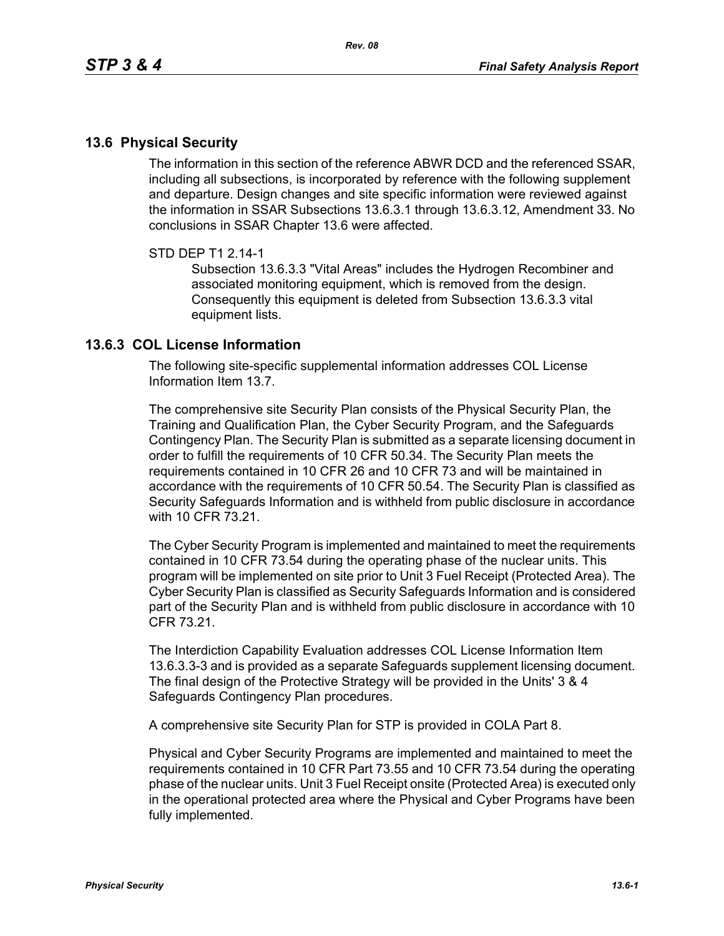## **13.6 Physical Security**

The information in this section of the reference ABWR DCD and the referenced SSAR, including all subsections, is incorporated by reference with the following supplement and departure. Design changes and site specific information were reviewed against the information in SSAR Subsections 13.6.3.1 through 13.6.3.12, Amendment 33. No conclusions in SSAR Chapter 13.6 were affected.

## STD DEP T1 2.14-1

Subsection 13.6.3.3 "Vital Areas" includes the Hydrogen Recombiner and associated monitoring equipment, which is removed from the design. Consequently this equipment is deleted from Subsection 13.6.3.3 vital equipment lists.

## **13.6.3 COL License Information**

The following site-specific supplemental information addresses COL License Information Item 13.7.

The comprehensive site Security Plan consists of the Physical Security Plan, the Training and Qualification Plan, the Cyber Security Program, and the Safeguards Contingency Plan. The Security Plan is submitted as a separate licensing document in order to fulfill the requirements of 10 CFR 50.34. The Security Plan meets the requirements contained in 10 CFR 26 and 10 CFR 73 and will be maintained in accordance with the requirements of 10 CFR 50.54. The Security Plan is classified as Security Safeguards Information and is withheld from public disclosure in accordance with 10 CFR 73 21

The Cyber Security Program is implemented and maintained to meet the requirements contained in 10 CFR 73.54 during the operating phase of the nuclear units. This program will be implemented on site prior to Unit 3 Fuel Receipt (Protected Area). The Cyber Security Plan is classified as Security Safeguards Information and is considered part of the Security Plan and is withheld from public disclosure in accordance with 10 CFR 73.21.

The Interdiction Capability Evaluation addresses COL License Information Item 13.6.3.3-3 and is provided as a separate Safeguards supplement licensing document. The final design of the Protective Strategy will be provided in the Units' 3 & 4 Safeguards Contingency Plan procedures.

A comprehensive site Security Plan for STP is provided in COLA Part 8.

Physical and Cyber Security Programs are implemented and maintained to meet the requirements contained in 10 CFR Part 73.55 and 10 CFR 73.54 during the operating phase of the nuclear units. Unit 3 Fuel Receipt onsite (Protected Area) is executed only in the operational protected area where the Physical and Cyber Programs have been fully implemented.